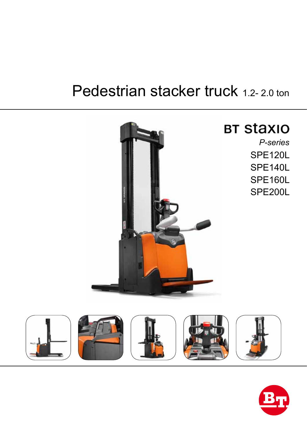# Pedestrian stacker truck 1.2-2.0 ton



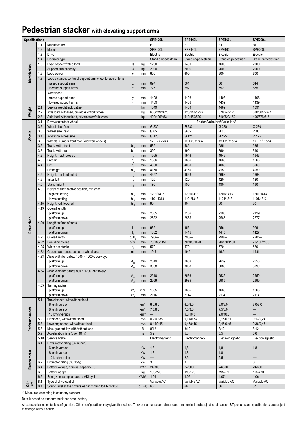### **Pedestrian stacker with elevating support arms**

| <b>Specifications</b> |      |                                                             |                                 |              | <b>SPE120L</b>      | <b>SPE140L</b>      | SPE160L                        | <b>SPE200L</b>           |
|-----------------------|------|-------------------------------------------------------------|---------------------------------|--------------|---------------------|---------------------|--------------------------------|--------------------------|
|                       | 1.1  | Manufacturer                                                |                                 |              | <b>BT</b>           | <b>BT</b>           | BT                             | <b>BT</b>                |
|                       | 1.2  | Model                                                       |                                 |              | SPE120L             | SPE140L             | SPE160L                        | <b>SPE200L</b>           |
|                       | 1.3  | Drive                                                       |                                 |              | Electric            | Electric            | Electric                       | Electric                 |
|                       | 1.4  | Operator type                                               |                                 |              | Stand on/pedestrian | Stand on/pedestrian | Stand on/pedestrian            | Stand on/pedestrian      |
|                       | 1.5  | Load capacity/rated load                                    | Q                               | kg           | 1200                | 1400                | 1600                           | 2000                     |
| dentification         |      | Support arm capacity                                        | Q                               | kg           | 2000                | 2000                | 2000                           | 2000                     |
|                       | 1.6  | Load center                                                 | c                               | mm           | 600                 | 600                 | 600                            | 600                      |
|                       | 1.8  | Load distance, centre of support arm wheel to face of forks |                                 |              |                     |                     |                                |                          |
|                       |      | raised support arms                                         | $\boldsymbol{\mathsf{X}}$       | mm           | 694                 | 661                 | 661                            | 644                      |
|                       |      | lowered support arms                                        | $\pmb{\chi}$                    | mm           | 725                 | 692                 | 692                            | 675                      |
|                       | 1.9  | Wheelbase                                                   |                                 |              |                     |                     |                                |                          |
|                       |      |                                                             |                                 |              |                     |                     |                                |                          |
|                       |      | raised support arms                                         | y                               | mm           | 1408                | 1408                | 1408                           | 1408                     |
|                       |      | lowered support arms                                        | V                               | mm           | 1439                | 1439                | 1439                           | 1439                     |
|                       | 2.1  | Service weight incl. battery                                |                                 | kg           | 1349                | 1489                | 1489                           | 1691                     |
| Weight                | 2.2  | Axle load, with load, drive/castor/fork wheel               |                                 | kg           | 680/249/1620        | 820/143/1926        | 870/94/2125                    | 680/384/2627             |
|                       | 2.3  | Axle load, without load, drive/castor/fork wheel            |                                 | kg           | 400/496/453         | 510/450/529         | 510/529/450                    | 400/676/615              |
|                       | 3.1  | Drive/castor/fork wheel                                     |                                 |              |                     |                     | Friction/Vulkollan®/Vulkollan® |                          |
|                       | 3.2  | Wheel size, front                                           |                                 | mm           | Ø 230               | Ø 230               | Ø 230                          | Ø 230                    |
| Wheels                | 3.3  | Wheel size, rear                                            |                                 | mm           | Ø 85                | Ø85                 | Ø 85                           | Ø 85                     |
|                       | 3.4  | Additional wheel size                                       |                                 | mm           | Ø 125               | Ø 125               | Ø 125                          | Ø 125                    |
|                       | 3.5  | Wheels, number front/rear (x=driven wheels)                 |                                 |              | $1x + 2/2$ or 4     | $1x + 2/2$ or 4     | $1x + 2/2$ or 4                | $1x + 2 / 2$ or 4        |
|                       | 3.6  | Track width, front                                          | $b_{10}$                        | mm           | 585                 | 585                 | 585                            | 585                      |
|                       | 3.7  | Track width, rear                                           | b,                              | mm           | 390                 | 390                 | 390                            | 390                      |
|                       | 4.2  | Height, mast lowered                                        | h,                              | mm           | 1995                | 1946                | 1946                           | 1946                     |
|                       | 4.3  | Free lift                                                   | $h_{\scriptscriptstyle 2}$      | mm           | 1556                | 1666                | 1666                           | 1566                     |
|                       | 4.4  | Lift                                                        | h <sub>2</sub>                  | mm           | 4060                | 4060                | 4060                           | 3960                     |
|                       |      | Lift height                                                 | $h_{23}$                        | mm           | 4150                | 4150                | 4150                           | 4050                     |
|                       | 4.5  | Height, mast extended                                       | $h_{\scriptscriptstyle A}$      | mm           | 4657                | 4668                | 4668                           | 4668                     |
|                       | 4.6  | <b>Initial Lift</b>                                         | $h_{\epsilon}$                  | mm           | 120                 | 120                 | 120                            | 120                      |
|                       | 4.8  | Stand height                                                | h <sub>2</sub>                  | mm           | 190                 | 190                 | 190                            | 190                      |
|                       | 4.9  | Height of tiller in drive position, min./max.               |                                 |              |                     |                     |                                |                          |
|                       |      | highest setting                                             | $h_{14}$                        | mm           | 1201/1413           | 1201/1413           | 1201/1413                      | 1201/1413                |
|                       |      | lowest setting                                              | $h_{14}$                        | mm           | 1101/1313           | 1101/1313           | 1101/1313                      | 1101/1313                |
|                       | 4.15 | Height, fork lowered                                        | $h_{13}$                        | mm           | 90                  | 90                  | 90                             | 90                       |
|                       | 4.19 | Overall length                                              |                                 |              |                     |                     |                                |                          |
|                       |      | platform up                                                 |                                 | mm           | 2085                | 2106                | 2106                           | 2129                     |
|                       |      | platform down                                               |                                 | mm           | 2532                | 2565                | 2565                           | 2577                     |
|                       | 4.20 | Length to face of forks                                     |                                 |              |                     |                     |                                |                          |
| <b>Dimensions</b>     |      | platform up                                                 |                                 | mm           | 935                 | 956                 | 956                            | 979                      |
|                       |      | platform down                                               | Ι,<br>$\mathsf{I}_{\mathsf{a}}$ | mm           | 1382                | 1415                | 1415                           | 1427                     |
|                       | 4.21 | Overall width                                               | b/b                             | mm           | $790/-$             | 790/-               | 790/-                          | $790/-$                  |
|                       | 4.22 | Fork dimensions                                             | s/e/l                           | mm           | 70/180/1150         | 70/180/1150         | 70/180/1150                    | 70/185/1150              |
|                       | 4.25 | Width over forks                                            | $b_{c}$                         | mm           | 570                 | 570                 | 570                            | 570                      |
|                       | 4.32 | Ground clearance, center of wheelbase                       |                                 |              | 19,5                | 19,5                | 19,5                           | 19,5                     |
|                       | 4.33 |                                                             | m,                              | mm           |                     |                     |                                |                          |
|                       |      | Aisle width for pallets 1000 × 1200 crossways               |                                 |              |                     |                     |                                |                          |
|                       |      | platform up                                                 | A <sub>st</sub>                 | mm           | 2619                | 2639                | 2639                           | 2650                     |
|                       |      | platform down                                               | A                               | mm           | 3068                | 3088                | 3088                           | 3099                     |
|                       | 4.34 | Aisle width for pallets 800 × 1200 lengthways               |                                 |              |                     |                     |                                |                          |
|                       |      | platform up                                                 | A <sub>st</sub>                 | mm           | 2510                | 2536                | 2536                           | 2550                     |
|                       |      | platform down                                               | $A_{\scriptscriptstyle\rm c}$   | mm           | 2959                | 2985                | 2985                           | 2999                     |
|                       | 4.35 | Turning radius                                              |                                 |              |                     |                     |                                |                          |
|                       |      | platform up                                                 | W.                              | mm           | 1665                | 1665                | 1665                           | 1665                     |
|                       |      | platform down                                               | W.                              | mm           | 2114                | 2114                | 2114                           | 2114                     |
|                       | 5.1  | Travel speed, with/without load                             |                                 |              |                     |                     |                                |                          |
|                       |      | 6 km/h version                                              |                                 | km/h         | 6,0/6,0             | 6,0/6,0             | 6,0/6,0                        | 6,0/6,0                  |
|                       |      | 8 km/h version                                              |                                 | km/h         | 7,5/8,0             | 7,5/8,0             | 7,5/8,0                        | $\qquad \qquad -$        |
|                       |      | 10 km/h version                                             |                                 | km/h         |                     | 9,0/10,0            | 9,0/10,0                       | —                        |
|                       | 5.2  | Lift speed, with/without load                               |                                 | m/s          | 0,20/0,36           | 0.17/0.33           | 0,15/0,31                      | 0,13/0,24                |
| Performance data      | 5.3  | Lowering speed, with/without load                           |                                 | m/s          | 0,45/0,45           | 0,45/0,45           | 0,45/0,45                      | 0,38/0,45                |
|                       | 5.8  | Max. gradeability, with/without load                        |                                 | %            | 8/12                | 8/12                | 8/12                           | 8/12                     |
|                       | 5.9  | Acceleration time (over 10 m)                               |                                 | $\mathsf{s}$ | 5,2                 | 5,3                 | 5,5                            | 6,6                      |
|                       | 5.10 | Service brake                                               |                                 |              | Electromagnetic     | Electromagnetic     | Electromagnetic                | Electromagnetic          |
|                       | 6.1  | Drive motor rating (S2 60min)                               |                                 |              |                     |                     |                                |                          |
|                       |      | 6 km/h version                                              |                                 | kW           | 1,8                 | 1,8                 | 1,8                            | 1,8                      |
|                       |      | 8 km/h version                                              |                                 | kW           | 1,8                 | 1,8                 | 1,8                            | $\overline{\phantom{0}}$ |
|                       |      | 10 km/h version                                             |                                 | kW           |                     | 2,5                 | 2,5                            |                          |
|                       | 6.2  | Lift motor rating (S3 15%)                                  |                                 | kW           | 3                   | 3                   | 3                              | 3                        |
| Electric motor        | 6.4  | Battery voltage, nominal capacity K5                        |                                 | V/Ah         | 24/300              | 24/300              | 24/300                         | 24/300                   |
|                       | 6.5  | Battery weight                                              |                                 | kg           | 195-270             | 195-270             | 195-270                        | 195-270                  |
|                       | 6.6  | Energy consumption acc to VDI cycle                         |                                 | kWh/h        | 1,04                | 1,06                | 1,07                           | 1,06                     |
|                       | 8.1  | Type of drive control                                       |                                 |              | Variable AC         | Variable AC         | Variable AC                    | Variable AC              |
| oth-<br>ers           | 8.4  | Sound level at the driver's ear according to EN 12 053      |                                 | $dB(A)$ 66   |                     | 66                  | 66                             | 67                       |
|                       |      |                                                             |                                 |              |                     |                     |                                |                          |

1) Measured according to company standard.

Data is based on standard truck and small battery.

All data are based on table configuration. Other configurations may give other values. Truck performance and dimensions are nominal and subject to tolerances. BT products and specifications are subject to change without notice.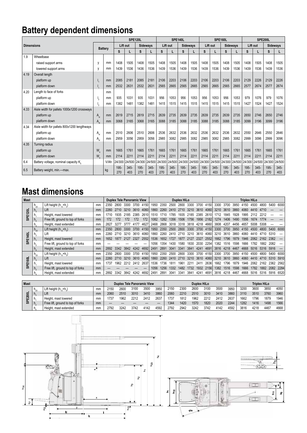# **Battery dependent dimensions**

|      |                                             |                                      |                | <b>SPE120L</b> |                |             |                 |             |                | <b>SPE140L</b>  |                |             |                | <b>SPE160L</b>  |                | <b>SPE200L</b> |                |             |                 |
|------|---------------------------------------------|--------------------------------------|----------------|----------------|----------------|-------------|-----------------|-------------|----------------|-----------------|----------------|-------------|----------------|-----------------|----------------|----------------|----------------|-------------|-----------------|
|      | <b>Dimensions</b>                           |                                      |                |                | Lift out       |             | <b>Sideways</b> |             | Lift out       | <b>Sideways</b> |                | Lift out    |                | <b>Sideways</b> |                | Lift out       |                |             | <b>Sideways</b> |
|      |                                             |                                      | <b>Battery</b> |                |                | s           |                 | s           |                | s               |                | s           |                | s               |                | S              |                | S           | L               |
| 1.9  | Wheelbase                                   |                                      |                |                |                |             |                 |             |                |                 |                |             |                |                 |                |                |                |             |                 |
|      | raised support arms                         | V                                    | mm             | 1408           | 1505           | 1408        | 1505            | 1408        | 1505           | 1408            | 1505           | 1408        | 1505           | 1408            | 1505           | 1408           | 1505           | 1408        | 1505            |
|      | lowered support arms                        | v                                    | mm             | 1439           | 1536           | 1436        | 1536            | 1439        | 1536           | 1439            | 1536           | 1439        | 1536           | 1439            | 1536           | 1439           | 1536           | 1439        | 1536            |
| 4.19 | Overall length                              |                                      |                |                |                |             |                 |             |                |                 |                |             |                |                 |                |                |                |             |                 |
|      | platform up                                 |                                      | mm             | 2085           | 2181           | 2085        | 2181            | 2106        | 2203           | 2106            | 2203           | 2106        | 2203           | 2106            | 2203           | 2129           | 2226           | 2129        | 2226            |
|      | platform down                               |                                      | mm             | 2532           | 2631           | 2532        | 2631            | 2565        | 2665           | 2565            | 2665           | 2565        | 2665           | 2565            | 2665           | 2577           | 2674           | 2577        | 2674            |
| 4.20 | Length to face of forks                     |                                      | mm             |                |                |             |                 |             |                |                 |                |             |                |                 |                |                |                |             |                 |
|      | platform up                                 | ٠,                                   | mm             | 935            | 1031           | 935         | 1031            | 956         | 1053           | 956             | 1053           | 956         | 1053           | 956             | 1053           | 979            | 1076           | 979         | 1076            |
|      | platform down                               |                                      | mm             | 1382           | 1481           | 1382        | 1481            | 1415        | 1515           | 1415            | 1515           | 1415        | 1515           | 1415            | 1515           | 1427           | 1524           | 1427        | 1524            |
| 4.33 | Aisle width for pallets 1000x1200 crossways |                                      |                |                |                |             |                 |             |                |                 |                |             |                |                 |                |                |                |             |                 |
|      | platform up                                 | $A_{\rm et}$                         | mm             | 2619           | 2715           | 2619        | 2715            | 2639        | 2735           | 2639            | 2735           | 2639        | 2735           | 2639            | 2735           | 2650           | 2746           | 2650        | 2746            |
|      | platform down                               | $A_{\rm st}$                         | mm             | 3068           | 3165           | 3068        | 3165            | 3088        | 3185           | 3088            | 3185           | 3088        | 3185           | 3088            | 3185           | 3099           | 3196           | 3099        | 3196            |
| 4.34 | Aisle width for pallets 800x1200 lengthways |                                      |                |                |                |             |                 |             |                |                 |                |             |                |                 |                |                |                |             |                 |
|      | platform up                                 | $A_{\rm et}$                         | mm             | 2510           | 2606           | 2510        | 2606            | 2536        | 2632           | 2536            | 2632           | 2536        | 2632           | 2536            | 2632           | 2550           | 2646           | 2550        | 2646            |
|      | platform down                               | $A_{\scriptscriptstyle{\text{eff}}}$ | mm             | 2959           | 3056           | 2959        | 3056            | 2985        | 3082           | 2985            | 3082           | 2985        | 3082           | 2985            | 3082           | 2999           | 3096           | 2999        | 3096            |
| 4.35 | Turning radius                              |                                      |                |                |                |             |                 |             |                |                 |                |             |                |                 |                |                |                |             |                 |
|      | platform up                                 | W.                                   | mm             | 1665           | 1761           | 1665        | 1761            | 1665        | 1761           | 1665            | 1761           | 1665        | 1761           | 1665            | 1761           | 1665           | 1761           | 1665        | 1761            |
|      | platform down                               | W.                                   | mm             | 2114           | 2211           | 2114        | 2211            | 2114        | 2211           | 2114            | 2211           | 2114        | 2211           | 2114            | 2211           | 2114           | 2211           | 2114        | 2211            |
| 6.4  | Battery voltage, nominal capacity K.        |                                      | V/Ah           | 24/300         | 24/500         | 24/300      | 24/500          |             | 24/300 24/500  | 24/300          | 24/500 24/300  |             | 24/500         | 24/300          | 24/500         | 24/300         | 24/500         | 24/300      | 24/500          |
| 6.5  | Battery weight, min.-max.                   |                                      | kg             | 195-<br>270    | $345 -$<br>403 | 195-<br>270 | $345 -$<br>403  | 195-<br>270 | $345 -$<br>403 | 195-<br>270     | $345 -$<br>403 | 195-<br>270 | $345 -$<br>403 | 195-<br>270     | $345 -$<br>403 | 195-<br>270    | $345 -$<br>403 | 195-<br>270 | $345 -$<br>403  |

## **Mast dimensions**

| <b>Mast</b>     |                |                                   |    | <b>Duplex Tele Panoramic View</b> |      |      |      |      | <b>Duplex HiLo</b> |      |               |       |      |      |      | <b>Triplex HiLo</b> |      |      |      |      |      |       |       |
|-----------------|----------------|-----------------------------------|----|-----------------------------------|------|------|------|------|--------------------|------|---------------|-------|------|------|------|---------------------|------|------|------|------|------|-------|-------|
|                 | $h_{23}$       | Lift height $(h_{12}+h_{2})$      | mm | 2350                              | 2800 | 3300 | 3700 | 4150 | 1950               | 2350 | 2500          | 2800  | 3300 | 3700 | 4150 | 3300                | 3700 | 3950 | 4150 | 4500 | 4800 | 5400  | 6000  |
|                 | $\mathsf{n}_2$ | Lift                              | mm | 2260                              | 2710 | 3210 | 3610 | 4060 | 1860               | 2260 | 2410          | 2710  | 3210 | 3610 | 4060 | 3210                | 3610 | 3860 | 4060 | 4410 | 4710 |       |       |
| <b>SPE1201</b>  |                | Height, mast lowered              | mm |                                   | 1935 | 2185 | 2385 | 2610 | 1510               | 1710 | 1785          | 935   | 2185 | 2385 | 2610 | 1712                | 1845 | 1928 |      |      |      |       |       |
|                 | $n_{\circ}$    | Free lift, ground to top of forks | mm |                                   | 172  | 172  | 172  | 172  | 1082               | 1282 | 1356          | 1506  | 1756 | 1956 | 2182 | 1274                | 1406 | 1490 | 1556 | 1674 |      |       |       |
|                 |                | Height, mast extended             | mm | 2827                              | 3277 | 3777 | 4177 | 4627 | 2468               | 2868 | 3018          | 3318  | 3818 | 4218 | 4660 | 3808                | 4207 | 4456 | 4657 | 5008 | 5308 |       |       |
|                 | $h_{23}$       | Lift height $(h_{12}+h_{2})$      | mm | 2350                              | 2800 | 3300 | 3700 | 4150 | 1950               | 2350 | 2500          | 2800  | 3300 | 3700 | 4150 | 3300                | 3700 | 3950 | 4150 | 4500 | 4800 | 5400  | 6000  |
| $\overline{40}$ |                | Lift                              | mm | 2260                              | 2710 | 3210 | 3610 | 4060 | 1860               | 2260 | 2410          | 2710  | 3210 | 3610 | 4060 | 3210                | 3610 | 3860 | 4060 | 4410 |      | 5310  |       |
| 霞               |                | Height, mast lowered              | mm | 1652                              | 1877 | 2127 | 2327 | 2552 | 1536               | 1652 | 1727          | 1877  | 2127 | 2327 | 2552 | 1662                | 1796 | 1879 | 1946 | 2062 | 2162 | -2362 |       |
| ဖာ              | п.             | Free lift, ground to top of forks | mm |                                   |      |      |      |      | 1056               | 1354 | 1430          | 1580  | 1830 | 2030 | 2254 | 1382                | 1516 | 1598 | 1666 | 1782 | 1882 | 2082  |       |
|                 |                | Height, mast extended             | mm | 2892                              | 3342 | 3842 | 4242 | 4692 | 2491               | 2891 | 3041          | 3341  | 3841 | 4241 | 4691 | 3816                | 4218 | 4467 | 4668 | 5016 | 5316 | 5916  |       |
|                 | $h_{23}$       | Lift height $(h_{12}+h_{2})$      | mm | 2350                              | 2800 | 3300 | 3700 | 4150 | 1950               | 2350 | 2500          | 2800  | 3300 | 3700 | 4150 | 3300                | 3700 | 3950 | 4150 | 4500 | 4800 | 5400  | 6000  |
|                 |                | Lift                              | mm | 2260                              | 2710 | 3210 | 3610 | 4060 | 1860               | 2260 | 2410          | 2710  | 3210 | 3610 | 4060 | 3210                | 3610 | 3860 | 4060 | 4410 | 4710 | 5310  | 5910  |
| E160L           |                | Height, mast lowered              | mm | 1737                              | 1962 | 2212 | 2412 | 2637 | 1536               | 1736 | $181^{\circ}$ | 196   |      | 241  | 2636 | 1662                | 796  | 1879 | 1946 | 2062 | 2162 | 2362  | 2562  |
| င္ဟ             |                | Free lift, ground to top of forks | mm |                                   |      |      |      |      | 1056               | 1256 | 1332          | 1482  | 1732 | 1932 | 2156 | 1382                | 1516 | 1598 | 1666 |      | 1882 | 2082  | 2284  |
|                 |                | Height, mast extended             | mm | 2892                              | 3342 | 3842 | 4242 | 4692 | 2491               | 2891 | 3041          | -3341 | 3841 | 4241 | 4691 | 3816                | 4218 | 4467 | 4668 | 5016 | 5316 | 5916  | 65201 |

| Mast   |            |                                   |    |      |      | <b>Duplex Tele Panoramic View</b> |      |      | <b>Duplex HiLo</b> | <b>Triplex HiLo</b> |      |      |      |      |      |      |      |      |
|--------|------------|-----------------------------------|----|------|------|-----------------------------------|------|------|--------------------|---------------------|------|------|------|------|------|------|------|------|
| ᇹ      | $\Pi_{23}$ | Lift height $(h_{12}+h_{2})$      | mm | 2150 | 2600 | 3100                              | 3500 | 3950 | 2150               | 2300                | 2600 | 3100 | 3500 | 3950 | 320  | 3600 | 3850 | 4050 |
|        |            | ' Lift                            | mm | 2060 | 2510 | 3010                              | 3410 | 3860 | 2060               | 2210                | 2510 | 3010 | 3410 | 3860 | 3110 | 3510 | 3760 | 3960 |
| ສ<br>ш |            | Height, mast lowered              | mm | '737 | 1962 | 2212                              | 2412 | 2637 | 1737               | 1812                | 1962 | 2212 | 2412 | 2637 | 1662 | 1796 | 1879 | 1946 |
| ळ      |            | Free lift, ground to top of forks | mm |      |      |                                   |      |      | 1344               | 1420                | 1570 | 1820 | 2020 | 2244 | 1282 | 1416 | 1498 | 1566 |
|        |            | Height, mast extended             | mm | 2792 | 3242 | 3742                              | 4142 | 4592 | 2792               | 2942                | 3242 | 3742 | 4142 | 4592 | 3816 | 4218 | 4467 | 4668 |